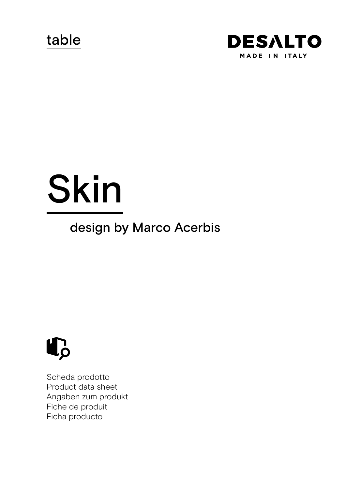table



# Skin

# design by Marco Acerbis



Scheda prodotto Product data sheet Angaben zum produkt Fiche de produit Ficha producto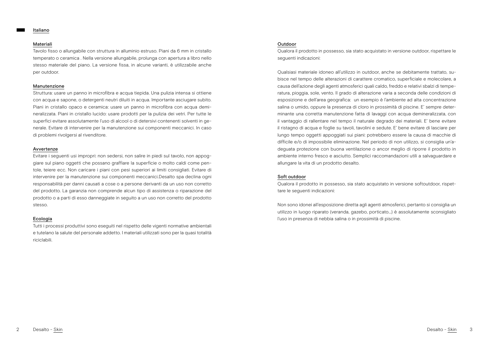#### Italiano

#### Materiali

Tavolo fisso o allungabile con struttura in alluminio estruso. Piani da 6 mm in cristallo temperato o ceramica . Nella versione allungabile, prolunga con apertura a libro nello stesso materiale del piano. La versione fissa, in alcune varianti, è utilizzabile anche per outdoor.

#### Manutenzione

Struttura: usare un panno in microfibra e acqua tiepida. Una pulizia intensa si ottiene con acqua e sapone, o detergenti neutri diluiti in acqua. Importante asciugare subito. Piani in cristallo opaco e ceramica: usare un panno in microfibra con acqua demineralizzata. Piani in cristallo lucido: usare prodotti per la pulizia dei vetri. Per tutte le superfici evitare assolutamente l'uso di alcool o di detersivi contenenti solventi in generale. Evitare di intervenire per la manutenzione sui componenti meccanici. In caso di problemi rivolgersi al rivenditore.

#### Avvertenze

Evitare i seguenti usi impropri: non sedersi, non salire in piedi sul tavolo, non appoggiare sul piano oggetti che possano graffiare la superficie o molto caldi come pentole, teiere ecc. Non caricare i piani con pesi superiori ai limiti consigliati. Evitare di intervenire per la manutenzione sui componenti meccanici.Desalto spa declina ogni responsabilità per danni causati a cose o a persone derivanti da un uso non corretto del prodotto. La garanzia non comprende alcun tipo di assistenza o riparazione del prodotto o a parti di esso danneggiate in seguito a un uso non corretto del prodotto stesso.

# Ecologia

Tutti i processi produttivi sono eseguiti nel rispetto delle vigenti normative ambientali e tutelano la salute del personale addetto. I materiali utilizzati sono per la quasi totalità riciclabili.

# Outdoor

Qualora il prodotto in possesso, sia stato acquistato in versione outdoor, rispettare le seguenti indicazioni:

Qualsiasi materiale idoneo all'utilizzo in outdoor, anche se debitamente trattato, subisce nel tempo delle alterazioni di carattere cromatico, superficiale e molecolare, a causa dell'azione degli agenti atmosferici quali caldo, freddo e relativi sbalzi di temperatura, pioggia, sole, vento. Il grado di alterazione varia a seconda delle condizioni di esposizione e dell'area geografica: un esempio è l'ambiente ad alta concentrazione salina o umido, oppure la presenza di cloro in prossimità di piscine. E' sempre determinante una corretta manutenzione fatta di lavaggi con acqua demineralizzata, con il vantaggio di rallentare nel tempo il naturale degrado dei materiali. E' bene evitare il ristagno di acqua e foglie su tavoli, tavolini e sedute. E' bene evitare di lasciare per lungo tempo oggetti appoggiati sui piani: potrebbero essere la causa di macchie di difficile e/o di impossibile eliminazione. Nel periodo di non utilizzo, si consiglia un'adeguata protezione con buona ventilazione o ancor meglio di riporre il prodotto in ambiente interno fresco e asciutto. Semplici raccomandazioni utili a salvaguardare e allungare la vita di un prodotto desalto.

# Soft outdoor

Qualora il prodotto in possesso, sia stato acquistato in versione softoutdoor, rispettare le seguenti indicazioni:

Non sono idonei all'esposizione diretta agli agenti atmosferici, pertanto si consiglia un utilizzo in luogo riparato (veranda, gazebo, porticato…) è assolutamente sconsigliato l'uso in presenza di nebbia salina o in prossimità di piscine.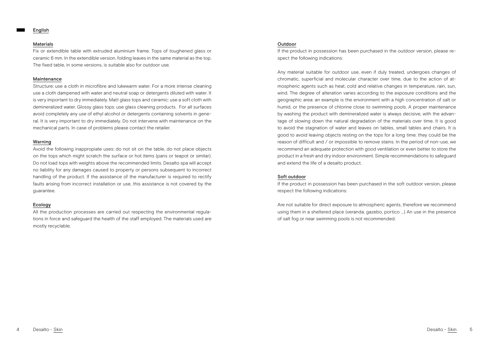#### Materials

Fix or extendible table with extruded aluminium frame. Tops of toughened glass or ceramic 6 mm. In the extendible version, folding leaves in the same material as the top. The fixed table, in some versions, is suitable also for outdoor use.

# Maintenance

Structure: use a cloth in microfibre and lukewarm water. For a more intense cleaning use a cloth dampened with water and neutral soap or detergents diluted with water. It is very important to dry immediately. Matt glass tops and ceramic: use a soft cloth with demineralized water. Glossy glass tops: use glass cleaning products. For all surfaces avoid completely any use of ethyl alcohol or detergents containing solvents in general. It is very important to dry immediately. Do not intervene with maintenance on the mechanical parts. In case of problems please contact the retailer.

# Warning

Avoid the following inappropiate uses: do not sit on the table, do not place objects on the tops which might scratch the surface or hot items (pans or teapot or similar). Do not load tops with weights above the recommended limits. Desalto spa will accept no liability for any damages caused to property or persons subsequent to incorrect handling of the product. If the assistance of the manufacturer is required to rectify faults arising from incorrect installation or use, this assistance is not covered by the guarantee.

# Ecology

All the production processes are carried out respecting the environmental regulations in force and safeguard the health of the staff employed. The materials used are mostly recyclable.

# Outdoor

If the product in possession has been purchased in the outdoor version, please respect the following indications:

Any material suitable for outdoor use, even if duly treated, undergoes changes of chromatic, superficial and molecular character over time, due to the action of atmospheric agents such as heat, cold and relative changes in temperature, rain, sun, wind. The degree of alteration varies according to the exposure conditions and the geographic area: an example is the environment with a high concentration of salt or humid, or the presence of chlorine close to swimming pools. A proper maintenance by washing the product with demineralized water is always decisive, with the advantage of slowing down the natural degradation of the materials over time. It is good to avoid the stagnation of water and leaves on tables, small tables and chairs. It is good to avoid leaving objects resting on the tops for a long time: they could be the reason of difficult and / or impossible to remove stains. In the period of non-use, we recommend an adequate protection with good ventilation or even better to store the product in a fresh and dry indoor environment. Simple recommendations to safeguard and extend the life of a desalto product.

# Soft outdoor

If the product in possession has been purchased in the soft outdoor version, please respect the following indications:

Are not suitable for direct exposure to atmospheric agents, therefore we recommend using them in a sheltered place (veranda, gazebo, portico ...) An use in the presence of salt fog or near swimming pools is not recommended.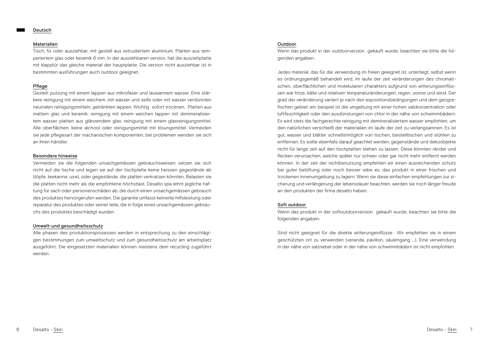#### Materialien

Tisch, fix oder ausziehbar, mit gestell aus extrudiertem aluminium. Platten aus temperiertem glas oder keramik 6 mm. In der ausziehbaren version, hat die ausziehplatte mit klapptür das gleiche material der hauptplatte. Die version nicht ausziehbar ist in bestimmten ausführungen auch outdoor geeignet.

# Pflege

Gestell: putzung mit einem lappen aus mikrofaser und lauwarmem wasser. Eine stärkere reinigung mit einem weichem ,mit wasser und seife oder mit wasser verdünnten neutralen reinigungsmitteln, getränkten lappen. Wichtig sofort trocknen. Platten aus mattem glas und keramik: reinigung mit einem weichen lappen mit demineralisiertem wasser platten aus glänzendem glas: reinigung mit einem glasreinigungsmittel. Alle oberflächen: keine alchool oder reinigungsmittel mit lösungsmittel. Vermeiden sie jede pflegesart der machanischen komponenten, bei problemen wenden sie sich an ihren händler.

#### Besondere hinweise

Vermeiden sie die folgenden unsachgemässen gebrauchsweisen: setzen sie sich nicht auf die tische und legen sie auf der tischplatte keine heissen gegestände ab (töpfe, teekanne, usw), oder gegestände, die platten verkratzen könnten. Belasten sie die platten nicht mehr als die empfohlene höchstlast. Desalto spa lehnt jegliche haftung für sach oder personenschäden ab, die durch einen unsachgemässen gebrauch des produktes hervorgerufen werden. Die garantie umfasst keinerlei hilfsleistung oder reparatur des produktes oder seiner teile, die in folge eines unsachgemässen gebrauchs des produktes beschädigt wurden.

# Umwelt-und gesundheitsschutz

Alle phasen des produktionsprozesses werden in entsprechung zu den einschlägigen bestimmungen zum umweltschutz und zum gesundheitsschutz am arbeitsplatz ausgeführt. Die eingesetzten materialien können meistens dem recycling zugeführt werden.

#### Outdoor

Wenn das produkt in der outdoorversion gekauft wurde, beachten sie bitte die folgenden angaben:

Jedes material, das für die verwendung im freien geeignet ist, unterliegt, selbst wenn es ordnungsgemäß behandelt wird, im laufe der zeit veränderungen des chromatischen, oberflächlichen und molekularen charakters aufgrund von witterungseinflüssen wie hitze, kälte und relativen temperaturänderungen, regen, sonne und wind. Der grad der veränderung variiert je nach den expositionsbedingungen und dem geografischen gebiet: ein beispiel ist die umgebung mit einer hohen salzkonzentration oder luftfeuchtigkeit oder den ausdünstungen von chlor in der nähe von schwimmbädern. Es wird stets die fachgerechte reinigung mit demineralisiertem wasser empfohlen, um den natürlichen verschleiß der materialien im laufe der zeit zu verlangsamnen. Es ist gut, wasser und blätter schnellstmöglich von tischen, beistelltischen und stühlen zu entfernen. Es sollte ebenfalls darauf geachtet werden, gegenstände und dekoobjekte nicht für lange zeit auf den tischplatten stehen zu lassen. Diese könnten ränder und flecken verursachen, welche später nur schwer oder gar nicht mehr entfernt werden können. In der zeit der nichtbenutzung empfehlen wir einen ausreichenden schutz bei guter belüftung oder noch besser wäre es, das produkt in einer frischen und trockenen innenumgebung zu lagern. Wenn sie diese einfachen empfehlungen zur sicherung und verlängerung der lebensdauer beachten, werden sie noch länger freude an den produkten der firma desalto haben.

#### Soft outdoor

Wenn das produkt in der softoutdoorversion gekauft wurde, beachten sie bitte die folgenden angaben:

Sind nicht geeignet für die direkte witterungeinflüsse . Wir empfehlen sie in einem geschützten ort zu verwenden (veranda, pavillon, säulengang ...). Eine verwendung in der nähe von salznebel oder in der nähe von schwimmbädern ist nicht empfohlen.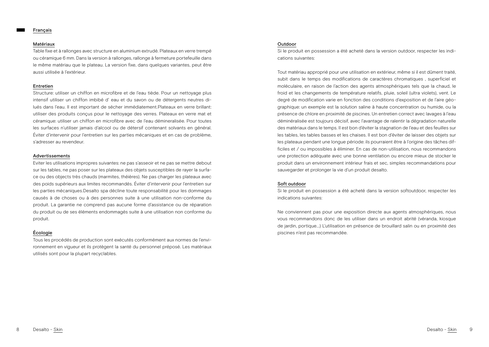#### Français

#### Matériaux

Table fixe et à rallonges avec structure en aluminium extrudé. Plateaux en verre trempé ou céramique 6 mm. Dans la version à rallonges, rallonge à fermeture portefeuille dans le même matériau que le plateau. La version fixe, dans quelques variantes, peut être aussi utilisée à l'extérieur.

# Entretien

Structure: utiliser un chiffon en microfibre et de l'eau tiède. Pour un nettoyage plus intensif utiliser un chiffon imbibé d' eau et du savon ou de détergents neutres dilués dans l'eau. Il est important de sécher immédiatement.Plateaux en verre brillant: utiliser des produits conçus pour le nettoyage des verres. Plateaux en verre mat et céramique: utiliser un chiffon en microfibre avec de l'eau démineralisée. Pour toutes les surfaces n'utiliser jamais d'alcool ou de détersif contenant solvants en général. Éviter d'intervenir pour l'entretien sur les parties mécaniques et en cas de problème, s'adresser au revendeur.

## Advertissements

Eviter les utilisations impropres suivantes: ne pas s'asseoir et ne pas se mettre debout sur les tables, ne pas poser sur les plateaux des objets susceptibles de rayer la surface ou des objects très chauds (marmites, théières). Ne pas charger les plateaux avec des poids supérieurs aux limites recommandés. Éviter d'intervenir pour l'entretien sur les parties mécaniques.Desalto spa décline toute responsabilité pour les dommages causés à de choses ou à des personnes suite à une utilisation non-conforme du produit. La garantie ne comprend pas aucune forme d'assistance ou de réparation du produit ou de ses éléments endommagés suite à une utilisation non conforme du produit.

# Écologie

Tous les procédés de production sont exécutés conformément aux normes de l'environnement en vigueur et ils protègent la santé du personnel préposé. Les matériaux utilisés sont pour la plupart recyclables.

# Outdoor

Si le produit en possession a été acheté dans la version outdoor, respecter les indications suivantes:

Tout matériau approprié pour une utilisation en extérieur, même si il est dûment traité, subit dans le temps des modifications de caractères chromatiques , superficiel et moléculaire, en raison de l'action des agents atmosphériques tels que la chaud, le froid et les changements de température relatifs, pluie, soleil (ultra violets), vent. Le degré de modification varie en fonction des conditions d'exposition et de l'aire géographique: un exemple est la solution saline à haute concentration ou humide, ou la présence de chlore en proximité de piscines. Un entretien correct avec lavages à l'eau déminéralisée est toujours décisif, avec l'avantage de ralentir la dégradation naturelle des matériaux dans le temps. Il est bon d'éviter la stagnation de l'eau et des feuilles sur les tables, les tables basses et les chaises. Il est bon d'éviter de laisser des objets sur les plateaux pendant une longue période: ils pourraient être à l'origine des tâches difficiles et / ou impossibles à éliminer. En cas de non-utilisation, nous recommandons une protection adéquate avec une bonne ventilation ou encore mieux de stocker le produit dans un environnement intérieur frais et sec, simples recommandations pour sauvegarder et prolonger la vie d'un produit desalto.

# Soft outdoor

Si le produit en possession a été acheté dans la version softoutdoor, respecter les indications suivantes:

Ne conviennent pas pour une exposition directe aux agents atmosphériques, nous vous recommandons donc de les utiliser dans un endroit abrité (véranda, kiosque de jardin, portique...) L'utilisation en présence de brouillard salin ou en proximité des piscines n'est pas recommandée.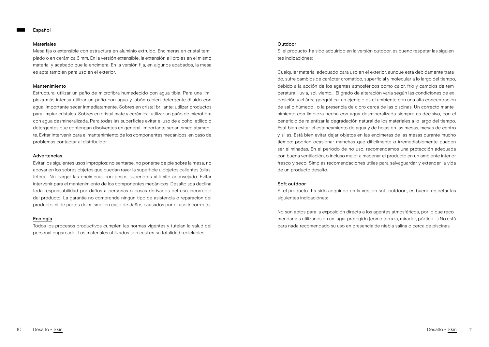#### Materiales

Mesa fija o extensible con estructura en aluminio extruido. Encimeras en cristal templado o en cerámica 6 mm. En la versión extensible, la extensión a libro es en el mismo material y acabado que la encimera. En la versión fija, en algunos acabados, la mesa es apta también para uso en el exterior.

#### Mantenimiento

Estructura: utilizar un paño de microfibra humedecido con agua tibia. Para una limpieza más intensa utilizar un paño con agua y jabón o bien detergente diluido con agua. Importante secar inmediatamente. Sobres en cristal brillante: utilizar productos para limpiar cristales. Sobres en cristal mate y cerámica: utilizar un paño de microfibra con agua desmineralizada. Para todas las superficies evitar el uso de alcohol etílico o detergentes que contengan disolventes en general. Importante secar inmediatamente. Evitar intervenir para el mantenimiento de los componentes mecánicos, en caso de problemas contactar al distribuidor.

#### Advertencias

Evitar los siguientes usos impropios: no sentarse, no ponerse de pie sobre la mesa, no apoyar en los sobres objetos que puedan rayar la superficie u objetos calientes (ollas, tetera). No cargar las encimeras con pesos superiores al límite aconsejado. Evitar intervenir para el mantenimiento de los componentes mecánicos. Desalto spa declina toda responsabilidad por daños a personas o cosas derivados del uso incorrecto del producto. La garantía no comprende ningun tipo de asistencia o reparacion del producto, ni de partes del mismo, en caso de daños causados por el uso incorrecto.

# Ecología

Todos los procesos productivos cumplen las normas vigentes y tutelan la salud del personal engarcado. Los materiales utilizados son casi en su totalidad reciclables.

#### Outdoor

Si el producto ha sido adquirido en la versión outdoor, es bueno respetar las siguientes indicaciónes:

Cualquier material adecuado para uso en el exterior, aunque está debidamente tratado, sufre cambios de carácter cromático, superficial y molecular a lo largo del tiempo, debido a la acción de los agentes atmosféricos como calor, frío y cambios de temperatura, lluvia, sol, viento... El grado de alteración varía según las condiciones de exposición y el área geográfica: un ejemplo es el ambiente con una alta concentración de sal o húmedo , o la presencia de cloro cerca de las piscinas. Un correcto mantenimiento con limpieza hecha con agua desmineralizada siempre es decisivo, con el beneficio de ralentizar la degradación natural de los materiales a lo largo del tiempo. Está bien evitar el estancamiento de agua y de hojas en las mesas, mesas de centro y sillas. Está bien evitar dejar objetos en las encimeras de las mesas durante mucho tiempo: podrían ocasionar manchas que difícilmente o irremediablemente pueden ser eliminadas. En el período de no uso, recomendamos una protección adecuada con buena ventilación, o incluso mejor almacenar el producto en un ambiente interior fresco y seco. Simples recomendaciones útiles para salvaguardar y extender la vida de un producto desalto.

# Soft outdoor

Si el producto ha sido adquirido en la versión soft outdoor , es bueno respetar las siguientes indicaciónes:

No son aptos para la exposición directa a los agentes atmosféricos, por lo que recomendamos utilizarlos en un lugar protegido (como terraza, mirador, pórtico ...) No está para nada recomendado su uso en presencia de niebla salina o cerca de piscinas.